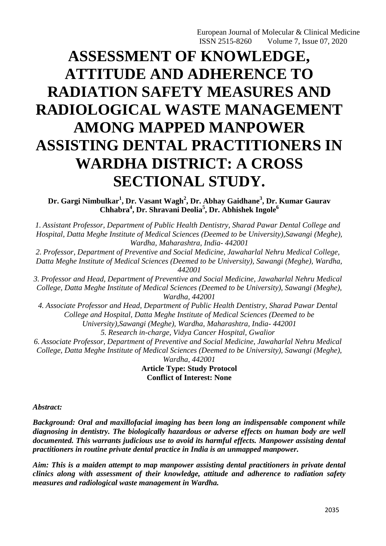# **ASSESSMENT OF KNOWLEDGE, ATTITUDE AND ADHERENCE TO RADIATION SAFETY MEASURES AND RADIOLOGICAL WASTE MANAGEMENT AMONG MAPPED MANPOWER ASSISTING DENTAL PRACTITIONERS IN WARDHA DISTRICT: A CROSS SECTIONAL STUDY.**

**Dr. Gargi Nimbulkar<sup>1</sup> , Dr. Vasant Wagh<sup>2</sup> , Dr. Abhay Gaidhane<sup>3</sup> , Dr. Kumar Gaurav Chhabra<sup>4</sup> , Dr. Shravani Deolia<sup>5</sup> , Dr. Abhishek Ingole<sup>6</sup>**

*1. Assistant Professor, Department of Public Health Dentistry, Sharad Pawar Dental College and Hospital, Datta Meghe Institute of Medical Sciences (Deemed to be University),Sawangi (Meghe), Wardha, Maharashtra, India- 442001*

*2. Professor, Department of Preventive and Social Medicine, Jawaharlal Nehru Medical College, Datta Meghe Institute of Medical Sciences (Deemed to be University), Sawangi (Meghe), Wardha, 442001*

*3. Professor and Head, Department of Preventive and Social Medicine, Jawaharlal Nehru Medical College, Datta Meghe Institute of Medical Sciences (Deemed to be University), Sawangi (Meghe), Wardha, 442001*

*4. Associate Professor and Head, Department of Public Health Dentistry, Sharad Pawar Dental College and Hospital, Datta Meghe Institute of Medical Sciences (Deemed to be University),Sawangi (Meghe), Wardha, Maharashtra, India- 442001 5. Research in-charge, Vidya Cancer Hospital, Gwalior*

*6. Associate Professor, Department of Preventive and Social Medicine, Jawaharlal Nehru Medical College, Datta Meghe Institute of Medical Sciences (Deemed to be University), Sawangi (Meghe), Wardha, 442001*

**Article Type: Study Protocol Conflict of Interest: None**

*Abstract:*

*Background: Oral and maxillofacial imaging has been long an indispensable component while diagnosing in dentistry. The biologically hazardous or adverse effects on human body are well documented. This warrants judicious use to avoid its harmful effects. Manpower assisting dental practitioners in routine private dental practice in India is an unmapped manpower.* 

*Aim: This is a maiden attempt to map manpower assisting dental practitioners in private dental clinics along with assessment of their knowledge, attitude and adherence to radiation safety measures and radiological waste management in Wardha.*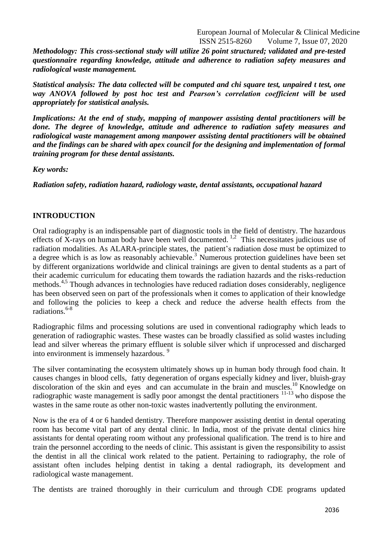*Methodology: This cross-sectional study will utilize 26 point structured; validated and pre-tested questionnaire regarding knowledge, attitude and adherence to radiation safety measures and radiological waste management.*

*Statistical analysis: The data collected will be computed and chi square test, unpaired t test, one way ANOVA followed by post hoc test and Pearson's correlation coefficient will be used appropriately for statistical analysis.*

*Implications: At the end of study, mapping of manpower assisting dental practitioners will be done. The degree of knowledge, attitude and adherence to radiation safety measures and radiological waste management among manpower assisting dental practitioners will be obtained and the findings can be shared with apex council for the designing and implementation of formal training program for these dental assistants.*

*Key words:*

*Radiation safety, radiation hazard, radiology waste, dental assistants, occupational hazard*

### **INTRODUCTION**

Oral radiography is an indispensable part of diagnostic tools in the field of dentistry. The hazardous effects of X-rays on human body have been well documented.<sup>1,2</sup> This necessitates judicious use of radiation modalities. As ALARA-principle states, the patient's radiation dose must be optimized to a degree which is as low as reasonably achievable.<sup>3</sup> Numerous protection guidelines have been set by different organizations worldwide and clinical trainings are given to dental students as a part of their academic curriculum for educating them towards the radiation hazards and the risks-reduction methods.<sup>4,5</sup> Though advances in technologies have reduced radiation doses considerably, negligence has been observed seen on part of the professionals when it comes to application of their knowledge and following the policies to keep a check and reduce the adverse health effects from the  $radiations.<sup>6-8</sup>$ 

Radiographic films and processing solutions are used in conventional radiography which leads to generation of radiographic wastes. These wastes can be broadly classified as solid wastes including lead and silver whereas the primary effluent is soluble silver which if unprocessed and discharged into environment is immensely hazardous. 9

The silver contaminating the ecosystem ultimately shows up in human body through food chain. It causes changes in blood cells, fatty degeneration of organs especially kidney and liver, bluish-gray discoloration of the skin and eyes and can accumulate in the brain and muscles.<sup>10</sup> Knowledge on radiographic waste management is sadly poor amongst the dental practitioners <sup>11-13</sup> who dispose the wastes in the same route as other non-toxic wastes inadvertently polluting the environment.

Now is the era of 4 or 6 handed dentistry. Therefore manpower assisting dentist in dental operating room has become vital part of any dental clinic. In India, most of the private dental clinics hire assistants for dental operating room without any professional qualification. The trend is to hire and train the personnel according to the needs of clinic. This assistant is given the responsibility to assist the dentist in all the clinical work related to the patient. Pertaining to radiography, the role of assistant often includes helping dentist in taking a dental radiograph, its development and radiological waste management.

The dentists are trained thoroughly in their curriculum and through CDE programs updated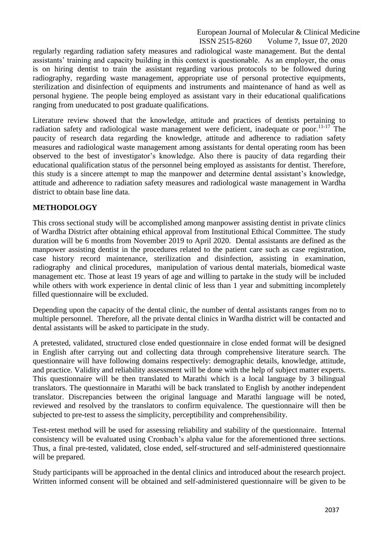regularly regarding radiation safety measures and radiological waste management. But the dental assistants' training and capacity building in this context is questionable. As an employer, the onus is on hiring dentist to train the assistant regarding various protocols to be followed during radiography, regarding waste management, appropriate use of personal protective equipments, sterilization and disinfection of equipments and instruments and maintenance of hand as well as personal hygiene. The people being employed as assistant vary in their educational qualifications ranging from uneducated to post graduate qualifications.

Literature review showed that the knowledge, attitude and practices of dentists pertaining to radiation safety and radiological waste management were deficient, inadequate or poor.<sup>11-17</sup> The paucity of research data regarding the knowledge, attitude and adherence to radiation safety measures and radiological waste management among assistants for dental operating room has been observed to the best of investigator's knowledge. Also there is paucity of data regarding their educational qualification status of the personnel being employed as assistants for dentist. Therefore, this study is a sincere attempt to map the manpower and determine dental assistant's knowledge, attitude and adherence to radiation safety measures and radiological waste management in Wardha district to obtain base line data.

### **METHODOLOGY**

This cross sectional study will be accomplished among manpower assisting dentist in private clinics of Wardha District after obtaining ethical approval from Institutional Ethical Committee. The study duration will be 6 months from November 2019 to April 2020. Dental assistants are defined as the manpower assisting dentist in the procedures related to the patient care such as case registration, case history record maintenance, sterilization and disinfection, assisting in examination, radiography and clinical procedures, manipulation of various dental materials, biomedical waste management etc. Those at least 19 years of age and willing to partake in the study will be included while others with work experience in dental clinic of less than 1 year and submitting incompletely filled questionnaire will be excluded.

Depending upon the capacity of the dental clinic, the number of dental assistants ranges from no to multiple personnel. Therefore, all the private dental clinics in Wardha district will be contacted and dental assistants will be asked to participate in the study.

A pretested, validated, structured close ended questionnaire in close ended format will be designed in English after carrying out and collecting data through comprehensive literature search. The questionnaire will have following domains respectively: demographic details, knowledge, attitude, and practice. Validity and reliability assessment will be done with the help of subject matter experts. This questionnaire will be then translated to Marathi which is a local language by 3 bilingual translators. The questionnaire in Marathi will be back translated to English by another independent translator. Discrepancies between the original language and Marathi language will be noted, reviewed and resolved by the translators to confirm equivalence. The questionnaire will then be subjected to pre-test to assess the simplicity, perceptibility and comprehensibility.

Test-retest method will be used for assessing reliability and stability of the questionnaire. Internal consistency will be evaluated using Cronbach's alpha value for the aforementioned three sections. Thus, a final pre-tested, validated, close ended, self-structured and self-administered questionnaire will be prepared.

Study participants will be approached in the dental clinics and introduced about the research project. Written informed consent will be obtained and self-administered questionnaire will be given to be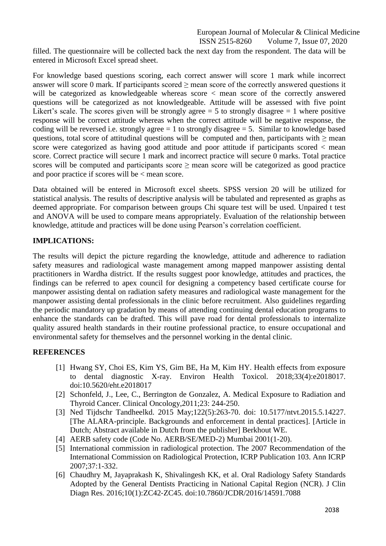filled. The questionnaire will be collected back the next day from the respondent. The data will be entered in Microsoft Excel spread sheet.

For knowledge based questions scoring, each correct answer will score 1 mark while incorrect answer will score 0 mark. If participants scored  $\geq$  mean score of the correctly answered questions it will be categorized as knowledgeable whereas score < mean score of the correctly answered questions will be categorized as not knowledgeable. Attitude will be assessed with five point Likert's scale. The scores given will be strongly agree  $= 5$  to strongly disagree  $= 1$  where positive response will be correct attitude whereas when the correct attitude will be negative response, the coding will be reversed i.e. strongly agree  $= 1$  to strongly disagree  $= 5$ . Similar to knowledge based questions, total score of attitudinal questions will be computed and then, participants with  $\geq$  mean score were categorized as having good attitude and poor attitude if participants scored < mean score. Correct practice will secure 1 mark and incorrect practice will secure 0 marks. Total practice scores will be computed and participants score  $\geq$  mean score will be categorized as good practice and poor practice if scores will be < mean score.

Data obtained will be entered in Microsoft excel sheets. SPSS version 20 will be utilized for statistical analysis. The results of descriptive analysis will be tabulated and represented as graphs as deemed appropriate. For comparison between groups Chi square test will be used. Unpaired t test and ANOVA will be used to compare means appropriately. Evaluation of the relationship between knowledge, attitude and practices will be done using Pearson's correlation coefficient.

# **IMPLICATIONS:**

The results will depict the picture regarding the knowledge, attitude and adherence to radiation safety measures and radiological waste management among mapped manpower assisting dental practitioners in Wardha district. If the results suggest poor knowledge, attitudes and practices, the findings can be referred to apex council for designing a competency based certificate course for manpower assisting dental on radiation safety measures and radiological waste management for the manpower assisting dental professionals in the clinic before recruitment. Also guidelines regarding the periodic mandatory up gradation by means of attending continuing dental education programs to enhance the standards can be drafted. This will pave road for dental professionals to internalize quality assured health standards in their routine professional practice, to ensure occupational and environmental safety for themselves and the personnel working in the dental clinic.

# **REFERENCES**

- [1] Hwang SY, Choi ES, Kim YS, Gim BE, Ha M, Kim HY. Health effects from exposure to dental diagnostic X-ray. Environ Health Toxicol. 2018;33(4):e2018017. doi:10.5620/eht.e2018017
- [2] Schonfeld, J., Lee, C., Berrington de Gonzalez, A. Medical Exposure to Radiation and Thyroid Cancer. Clinical Oncology,2011;23: 244-250.
- [3] Ned Tijdschr Tandheelkd. 2015 May;122(5):263-70. doi: 10.5177/ntvt.2015.5.14227. [The ALARA-principle. Backgrounds and enforcement in dental practices]. [Article in Dutch; Abstract available in Dutch from the publisher] Berkhout WE.
- [4] AERB safety code (Code No. AERB/SE/MED-2) Mumbai 2001(1-20).
- [5] International commission in radiological protection. The 2007 Recommendation of the International Commission on Radiological Protection, ICRP Publication 103. Ann ICRP 2007;37:1-332.
- [6] Chaudhry M, Jayaprakash K, Shivalingesh KK, et al. Oral Radiology Safety Standards Adopted by the General Dentists Practicing in National Capital Region (NCR). J Clin Diagn Res. 2016;10(1):ZC42‐ZC45. doi:10.7860/JCDR/2016/14591.7088